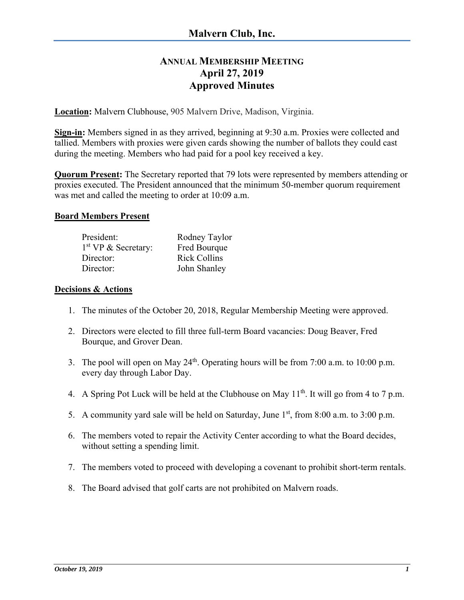# **ANNUAL MEMBERSHIP MEETING April 27, 2019 Approved Minutes**

**Location:** Malvern Clubhouse, 905 Malvern Drive, Madison, Virginia.

**Sign-in:** Members signed in as they arrived, beginning at 9:30 a.m. Proxies were collected and tallied. Members with proxies were given cards showing the number of ballots they could cast during the meeting. Members who had paid for a pool key received a key.

**Quorum Present:** The Secretary reported that 79 lots were represented by members attending or proxies executed. The President announced that the minimum 50-member quorum requirement was met and called the meeting to order at 10:09 a.m.

#### **Board Members Present**

| President:                      | Rodney Taylor       |
|---------------------------------|---------------------|
| 1 <sup>st</sup> VP & Secretary: | Fred Bourque        |
| Director:                       | <b>Rick Collins</b> |
| Director:                       | John Shanley        |

#### **Decisions & Actions**

- 1. The minutes of the October 20, 2018, Regular Membership Meeting were approved.
- 2. Directors were elected to fill three full-term Board vacancies: Doug Beaver, Fred Bourque, and Grover Dean.
- 3. The pool will open on May  $24<sup>th</sup>$ . Operating hours will be from 7:00 a.m. to 10:00 p.m. every day through Labor Day.
- 4. A Spring Pot Luck will be held at the Clubhouse on May  $11^{th}$ . It will go from 4 to 7 p.m.
- 5. A community yard sale will be held on Saturday, June  $1<sup>st</sup>$ , from 8:00 a.m. to 3:00 p.m.
- 6. The members voted to repair the Activity Center according to what the Board decides, without setting a spending limit.
- 7. The members voted to proceed with developing a covenant to prohibit short-term rentals.
- 8. The Board advised that golf carts are not prohibited on Malvern roads.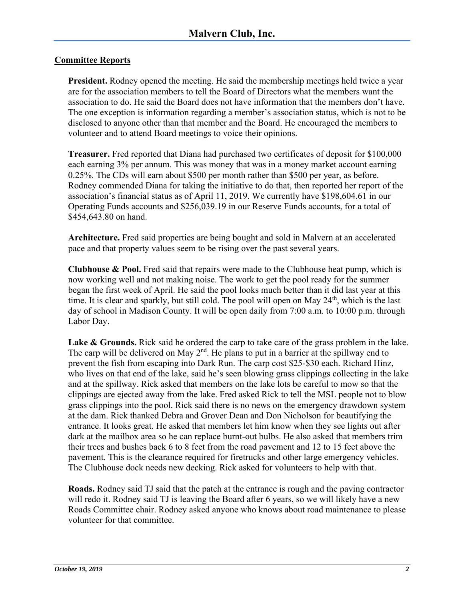# **Committee Reports**

**President.** Rodney opened the meeting. He said the membership meetings held twice a year are for the association members to tell the Board of Directors what the members want the association to do. He said the Board does not have information that the members don't have. The one exception is information regarding a member's association status, which is not to be disclosed to anyone other than that member and the Board. He encouraged the members to volunteer and to attend Board meetings to voice their opinions.

**Treasurer.** Fred reported that Diana had purchased two certificates of deposit for \$100,000 each earning 3% per annum. This was money that was in a money market account earning 0.25%. The CDs will earn about \$500 per month rather than \$500 per year, as before. Rodney commended Diana for taking the initiative to do that, then reported her report of the association's financial status as of April 11, 2019. We currently have \$198,604.61 in our Operating Funds accounts and \$256,039.19 in our Reserve Funds accounts, for a total of \$454,643.80 on hand.

**Architecture.** Fred said properties are being bought and sold in Malvern at an accelerated pace and that property values seem to be rising over the past several years.

**Clubhouse & Pool.** Fred said that repairs were made to the Clubhouse heat pump, which is now working well and not making noise. The work to get the pool ready for the summer began the first week of April. He said the pool looks much better than it did last year at this time. It is clear and sparkly, but still cold. The pool will open on May 24<sup>th</sup>, which is the last day of school in Madison County. It will be open daily from 7:00 a.m. to 10:00 p.m. through Labor Day.

Lake & Grounds. Rick said he ordered the carp to take care of the grass problem in the lake. The carp will be delivered on May  $2<sup>nd</sup>$ . He plans to put in a barrier at the spillway end to prevent the fish from escaping into Dark Run. The carp cost \$25-\$30 each. Richard Hinz, who lives on that end of the lake, said he's seen blowing grass clippings collecting in the lake and at the spillway. Rick asked that members on the lake lots be careful to mow so that the clippings are ejected away from the lake. Fred asked Rick to tell the MSL people not to blow grass clippings into the pool. Rick said there is no news on the emergency drawdown system at the dam. Rick thanked Debra and Grover Dean and Don Nicholson for beautifying the entrance. It looks great. He asked that members let him know when they see lights out after dark at the mailbox area so he can replace burnt-out bulbs. He also asked that members trim their trees and bushes back 6 to 8 feet from the road pavement and 12 to 15 feet above the pavement. This is the clearance required for firetrucks and other large emergency vehicles. The Clubhouse dock needs new decking. Rick asked for volunteers to help with that.

**Roads.** Rodney said TJ said that the patch at the entrance is rough and the paving contractor will redo it. Rodney said TJ is leaving the Board after 6 years, so we will likely have a new Roads Committee chair. Rodney asked anyone who knows about road maintenance to please volunteer for that committee.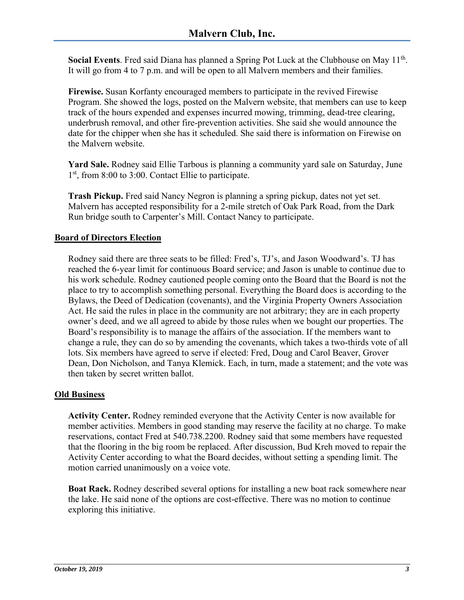**Social Events**. Fred said Diana has planned a Spring Pot Luck at the Clubhouse on May 11<sup>th</sup>. It will go from 4 to 7 p.m. and will be open to all Malvern members and their families.

**Firewise.** Susan Korfanty encouraged members to participate in the revived Firewise Program. She showed the logs, posted on the Malvern website, that members can use to keep track of the hours expended and expenses incurred mowing, trimming, dead-tree clearing, underbrush removal, and other fire-prevention activities. She said she would announce the date for the chipper when she has it scheduled. She said there is information on Firewise on the Malvern website.

**Yard Sale.** Rodney said Ellie Tarbous is planning a community yard sale on Saturday, June 1<sup>st</sup>, from 8:00 to 3:00. Contact Ellie to participate.

**Trash Pickup.** Fred said Nancy Negron is planning a spring pickup, dates not yet set. Malvern has accepted responsibility for a 2-mile stretch of Oak Park Road, from the Dark Run bridge south to Carpenter's Mill. Contact Nancy to participate.

# **Board of Directors Election**

Rodney said there are three seats to be filled: Fred's, TJ's, and Jason Woodward's. TJ has reached the 6-year limit for continuous Board service; and Jason is unable to continue due to his work schedule. Rodney cautioned people coming onto the Board that the Board is not the place to try to accomplish something personal. Everything the Board does is according to the Bylaws, the Deed of Dedication (covenants), and the Virginia Property Owners Association Act. He said the rules in place in the community are not arbitrary; they are in each property owner's deed, and we all agreed to abide by those rules when we bought our properties. The Board's responsibility is to manage the affairs of the association. If the members want to change a rule, they can do so by amending the covenants, which takes a two-thirds vote of all lots. Six members have agreed to serve if elected: Fred, Doug and Carol Beaver, Grover Dean, Don Nicholson, and Tanya Klemick. Each, in turn, made a statement; and the vote was then taken by secret written ballot.

# **Old Business**

**Activity Center.** Rodney reminded everyone that the Activity Center is now available for member activities. Members in good standing may reserve the facility at no charge. To make reservations, contact Fred at 540.738.2200. Rodney said that some members have requested that the flooring in the big room be replaced. After discussion, Bud Kreh moved to repair the Activity Center according to what the Board decides, without setting a spending limit. The motion carried unanimously on a voice vote.

**Boat Rack.** Rodney described several options for installing a new boat rack somewhere near the lake. He said none of the options are cost-effective. There was no motion to continue exploring this initiative.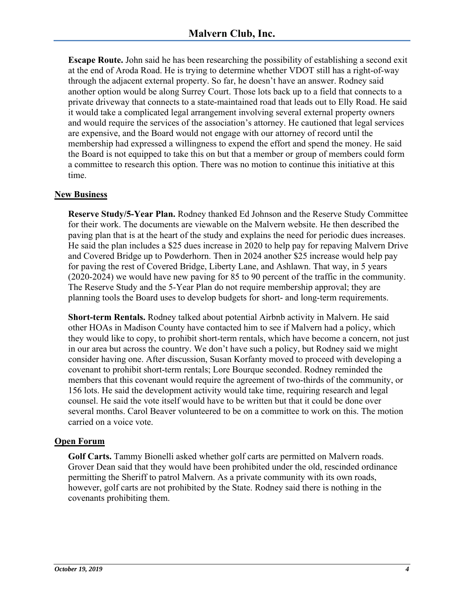**Escape Route.** John said he has been researching the possibility of establishing a second exit at the end of Aroda Road. He is trying to determine whether VDOT still has a right-of-way through the adjacent external property. So far, he doesn't have an answer. Rodney said another option would be along Surrey Court. Those lots back up to a field that connects to a private driveway that connects to a state-maintained road that leads out to Elly Road. He said it would take a complicated legal arrangement involving several external property owners and would require the services of the association's attorney. He cautioned that legal services are expensive, and the Board would not engage with our attorney of record until the membership had expressed a willingness to expend the effort and spend the money. He said the Board is not equipped to take this on but that a member or group of members could form a committee to research this option. There was no motion to continue this initiative at this time.

# **New Business**

**Reserve Study/5-Year Plan.** Rodney thanked Ed Johnson and the Reserve Study Committee for their work. The documents are viewable on the Malvern website. He then described the paving plan that is at the heart of the study and explains the need for periodic dues increases. He said the plan includes a \$25 dues increase in 2020 to help pay for repaving Malvern Drive and Covered Bridge up to Powderhorn. Then in 2024 another \$25 increase would help pay for paving the rest of Covered Bridge, Liberty Lane, and Ashlawn. That way, in 5 years (2020-2024) we would have new paving for 85 to 90 percent of the traffic in the community. The Reserve Study and the 5-Year Plan do not require membership approval; they are planning tools the Board uses to develop budgets for short- and long-term requirements.

**Short-term Rentals.** Rodney talked about potential Airbnb activity in Malvern. He said other HOAs in Madison County have contacted him to see if Malvern had a policy, which they would like to copy, to prohibit short-term rentals, which have become a concern, not just in our area but across the country. We don't have such a policy, but Rodney said we might consider having one. After discussion, Susan Korfanty moved to proceed with developing a covenant to prohibit short-term rentals; Lore Bourque seconded. Rodney reminded the members that this covenant would require the agreement of two-thirds of the community, or 156 lots. He said the development activity would take time, requiring research and legal counsel. He said the vote itself would have to be written but that it could be done over several months. Carol Beaver volunteered to be on a committee to work on this. The motion carried on a voice vote.

# **Open Forum**

**Golf Carts.** Tammy Bionelli asked whether golf carts are permitted on Malvern roads. Grover Dean said that they would have been prohibited under the old, rescinded ordinance permitting the Sheriff to patrol Malvern. As a private community with its own roads, however, golf carts are not prohibited by the State. Rodney said there is nothing in the covenants prohibiting them.